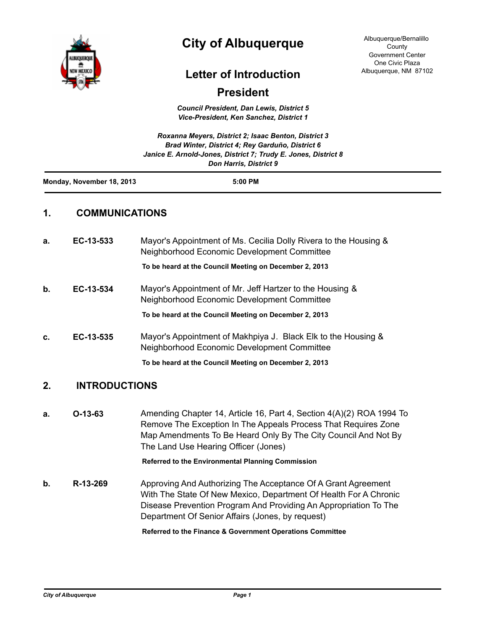

## **City of Albuquerque**

Albuquerque/Bernalillo County Government Center One Civic Plaza Albuquerque, NM 87102

## **Letter of Introduction**

## **President**

*Council President, Dan Lewis, District 5 Vice-President, Ken Sanchez, District 1*

|                           | Roxanna Meyers, District 2; Isaac Benton, District 3<br>Brad Winter, District 4: Rey Garduño, District 6 |
|---------------------------|----------------------------------------------------------------------------------------------------------|
|                           | Janice E. Arnold-Jones, District 7; Trudy E. Jones, District 8<br><b>Don Harris, District 9</b>          |
| Monday, November 18, 2013 | $5:00$ PM                                                                                                |

## **1. COMMUNICATIONS**

| a. | EC-13-533            | Mayor's Appointment of Ms. Cecilia Dolly Rivera to the Housing &<br>Neighborhood Economic Development Committee                                                                                                                                  |
|----|----------------------|--------------------------------------------------------------------------------------------------------------------------------------------------------------------------------------------------------------------------------------------------|
|    |                      | To be heard at the Council Meeting on December 2, 2013                                                                                                                                                                                           |
| b. | EC-13-534            | Mayor's Appointment of Mr. Jeff Hartzer to the Housing &<br>Neighborhood Economic Development Committee                                                                                                                                          |
|    |                      | To be heard at the Council Meeting on December 2, 2013                                                                                                                                                                                           |
| c. | EC-13-535            | Mayor's Appointment of Makhpiya J. Black Elk to the Housing &<br>Neighborhood Economic Development Committee                                                                                                                                     |
|    |                      | To be heard at the Council Meeting on December 2, 2013                                                                                                                                                                                           |
| 2. | <b>INTRODUCTIONS</b> |                                                                                                                                                                                                                                                  |
| a. | $O-13-63$            | Amending Chapter 14, Article 16, Part 4, Section 4(A)(2) ROA 1994 To<br>Remove The Exception In The Appeals Process That Requires Zone<br>Map Amendments To Be Heard Only By The City Council And Not By<br>The Land Use Hearing Officer (Jones) |
|    |                      | Referred to the Environmental Planning Commission                                                                                                                                                                                                |
| h  | D_13_26Q             | Approving And Authorizing The Acceptance Of A Grapt Agreement                                                                                                                                                                                    |

**b. R-13-269** Approving And Authorizing The Acceptance Of A Grant Agreement With The State Of New Mexico, Department Of Health For A Chronic Disease Prevention Program And Providing An Appropriation To The Department Of Senior Affairs (Jones, by request)

**Referred to the Finance & Government Operations Committee**